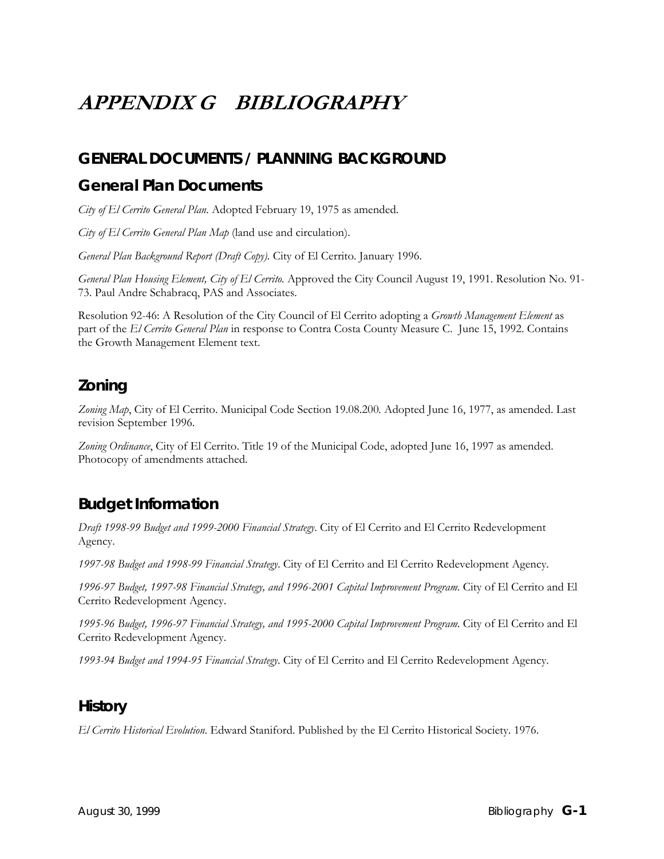# **APPENDIX G BIBLIOGRAPHY**

# **GENERAL DOCUMENTS / PLANNING BACKGROUND**

### **General Plan Documents**

*City of El Cerrito General Plan*. Adopted February 19, 1975 as amended.

*City of El Cerrito General Plan Map* (land use and circulation).

*General Plan Background Report (Draft Copy).* City of El Cerrito. January 1996.

*General Plan Housing Element, City of El Cerrito.* Approved the City Council August 19, 1991. Resolution No. 91- 73. Paul Andre Schabracq, PAS and Associates.

Resolution 92-46: A Resolution of the City Council of El Cerrito adopting a *Growth Management Element* as part of the *El Cerrito General Plan* in response to Contra Costa County Measure C. June 15, 1992. Contains the Growth Management Element text.

# **Zoning**

*Zoning Map*, City of El Cerrito. Municipal Code Section 19.08.200*.* Adopted June 16, 1977, as amended. Last revision September 1996.

*Zoning Ordinance*, City of El Cerrito. Title 19 of the Municipal Code, adopted June 16, 1997 as amended. Photocopy of amendments attached*.* 

# **Budget Information**

*Draft 1998-99 Budget and 1999-2000 Financial Strategy*. City of El Cerrito and El Cerrito Redevelopment Agency.

*1997-98 Budget and 1998-99 Financial Strategy*. City of El Cerrito and El Cerrito Redevelopment Agency.

*1996-97 Budget, 1997-98 Financial Strategy, and 1996-2001 Capital Improvement Program*. City of El Cerrito and El Cerrito Redevelopment Agency.

*1995-96 Budget, 1996-97 Financial Strategy, and 1995-2000 Capital Improvement Program*. City of El Cerrito and El Cerrito Redevelopment Agency.

*1993-94 Budget and 1994-95 Financial Strategy*. City of El Cerrito and El Cerrito Redevelopment Agency.

### **History**

*El Cerrito Historical Evolution*. Edward Staniford. Published by the El Cerrito Historical Society. 1976.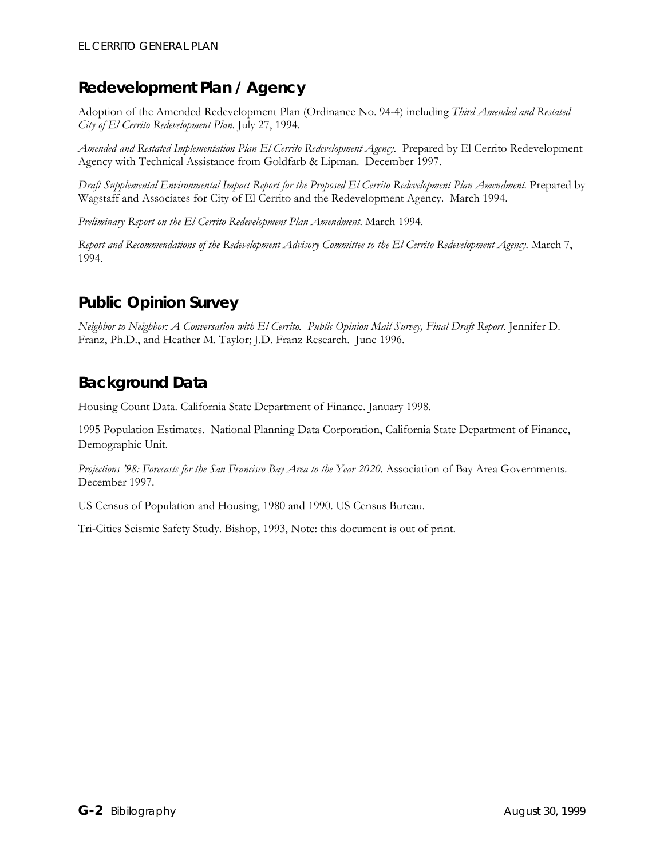# **Redevelopment Plan / Agency**

Adoption of the Amended Redevelopment Plan (Ordinance No. 94-4) including *Third Amended and Restated City of El Cerrito Redevelopment Plan*. July 27, 1994.

*Amended and Restated Implementation Plan El Cerrito Redevelopment Agency*. Prepared by El Cerrito Redevelopment Agency with Technical Assistance from Goldfarb & Lipman. December 1997.

*Draft Supplemental Environmental Impact Report for the Proposed El Cerrito Redevelopment Plan Amendment.* Prepared by Wagstaff and Associates for City of El Cerrito and the Redevelopment Agency. March 1994.

*Preliminary Report on the El Cerrito Redevelopment Plan Amendment*. March 1994.

*Report and Recommendations of the Redevelopment Advisory Committee to the El Cerrito Redevelopment Agency.* March 7, 1994.

# **Public Opinion Survey**

*Neighbor to Neighbor: A Conversation with El Cerrito. Public Opinion Mail Survey, Final Draft Report*. Jennifer D. Franz, Ph.D., and Heather M. Taylor; J.D. Franz Research. June 1996.

# **Background Data**

Housing Count Data. California State Department of Finance. January 1998.

1995 Population Estimates. National Planning Data Corporation, California State Department of Finance, Demographic Unit.

*Projections '98: Forecasts for the San Francisco Bay Area to the Year 2020*. Association of Bay Area Governments. December 1997.

US Census of Population and Housing, 1980 and 1990. US Census Bureau.

Tri-Cities Seismic Safety Study. Bishop, 1993, Note: this document is out of print.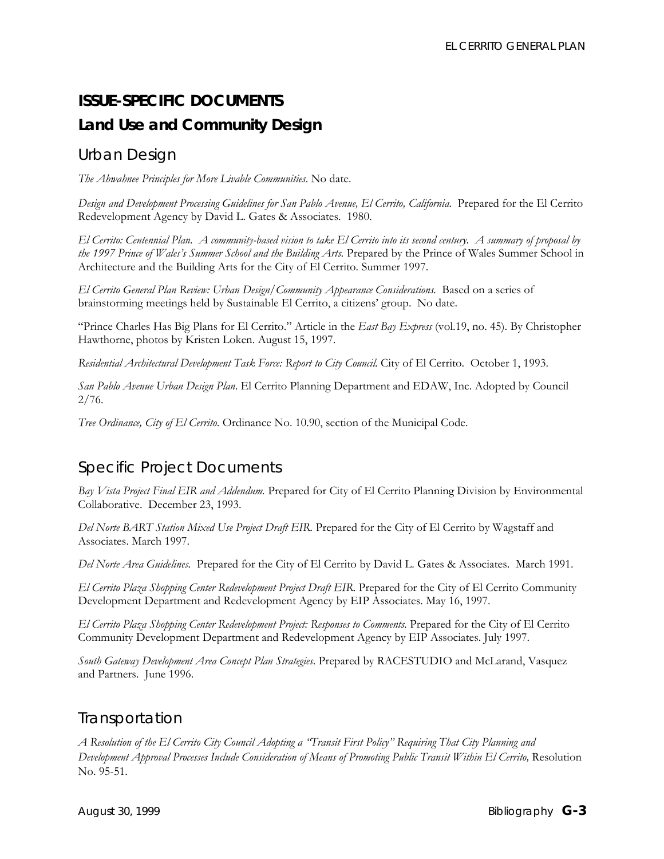# **ISSUE-SPECIFIC DOCUMENTS Land Use and Community Design**

# *Urban Design*

*The Ahwahnee Principles for More Livable Communities*. No date.

*Design and Development Processing Guidelines for San Pablo Avenue, El Cerrito, California.* Prepared for the El Cerrito Redevelopment Agency by David L. Gates & Associates. 1980.

*El Cerrito: Centennial Plan. A community-based vision to take El Cerrito into its second century. A summary of proposal by the 1997 Prince of Wales's Summer School and the Building Arts.* Prepared by the Prince of Wales Summer School in Architecture and the Building Arts for the City of El Cerrito. Summer 1997.

*El Cerrito General Plan Review: Urban Design/Community Appearance Considerations.* Based on a series of brainstorming meetings held by Sustainable El Cerrito, a citizens' group. No date.

"Prince Charles Has Big Plans for El Cerrito." Article in the *East Bay Express* (vol.19, no. 45). By Christopher Hawthorne, photos by Kristen Loken. August 15, 1997.

*Residential Architectural Development Task Force: Report to City Council.* City of El Cerrito. October 1, 1993.

*San Pablo Avenue Urban Design Plan*. El Cerrito Planning Department and EDAW, Inc. Adopted by Council 2/76.

*Tree Ordinance, City of El Cerrito*. Ordinance No. 10.90, section of the Municipal Code.

# *Specific Project Documents*

*Bay Vista Project Final EIR and Addendum.* Prepared for City of El Cerrito Planning Division by Environmental Collaborative. December 23, 1993.

*Del Norte BART Station Mixed Use Project Draft EIR.* Prepared for the City of El Cerrito by Wagstaff and Associates. March 1997.

*Del Norte Area Guidelines.* Prepared for the City of El Cerrito by David L. Gates & Associates. March 1991.

*El Cerrito Plaza Shopping Center Redevelopment Project Draft EIR*. Prepared for the City of El Cerrito Community Development Department and Redevelopment Agency by EIP Associates. May 16, 1997.

*El Cerrito Plaza Shopping Center Redevelopment Project: Responses to Comments*. Prepared for the City of El Cerrito Community Development Department and Redevelopment Agency by EIP Associates. July 1997.

*South Gateway Development Area Concept Plan Strategies*. Prepared by RACESTUDIO and McLarand, Vasquez and Partners. June 1996.

### *Transportation*

*A Resolution of the El Cerrito City Council Adopting a "Transit First Policy" Requiring That City Planning and Development Approval Processes Include Consideration of Means of Promoting Public Transit Within El Cerrito,* Resolution No. 95-51.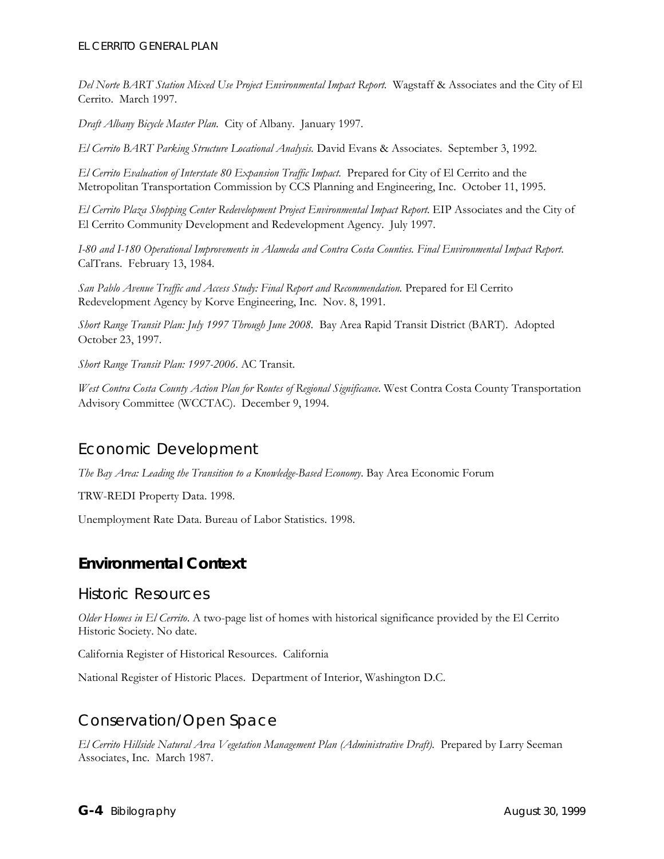*Del Norte BART Station Mixed Use Project Environmental Impact Report.* Wagstaff & Associates and the City of El Cerrito. March 1997.

*Draft Albany Bicycle Master Plan.* City of Albany. January 1997.

*El Cerrito BART Parking Structure Locational Analysis.* David Evans & Associates. September 3, 1992.

*El Cerrito Evaluation of Interstate 80 Expansion Traffic Impact*. Prepared for City of El Cerrito and the Metropolitan Transportation Commission by CCS Planning and Engineering, Inc. October 11, 1995.

*El Cerrito Plaza Shopping Center Redevelopment Project Environmental Impact Report*. EIP Associates and the City of El Cerrito Community Development and Redevelopment Agency. July 1997.

*I-80 and I-180 Operational Improvements in Alameda and Contra Costa Counties. Final Environmental Impact Report*. CalTrans. February 13, 1984.

*San Pablo Avenue Traffic and Access Study: Final Report and Recommendation.* Prepared for El Cerrito Redevelopment Agency by Korve Engineering, Inc. Nov. 8, 1991.

*Short Range Transit Plan: July 1997 Through June 2008.* Bay Area Rapid Transit District (BART). Adopted October 23, 1997.

*Short Range Transit Plan: 1997-2006*. AC Transit.

*West Contra Costa County Action Plan for Routes of Regional Significance*. West Contra Costa County Transportation Advisory Committee (WCCTAC). December 9, 1994.

#### *Economic Development*

*The Bay Area: Leading the Transition to a Knowledge-Based Economy*. Bay Area Economic Forum

TRW-REDI Property Data. 1998.

Unemployment Rate Data. Bureau of Labor Statistics. 1998.

### **Environmental Context**

#### *Historic Resources*

*Older Homes in El Cerrito*. A two-page list of homes with historical significance provided by the El Cerrito Historic Society. No date.

California Register of Historical Resources. California

National Register of Historic Places. Department of Interior, Washington D.C.

# *Conservation/Open Space*

*El Cerrito Hillside Natural Area Vegetation Management Plan (Administrative Draft).* Prepared by Larry Seeman Associates, Inc. March 1987.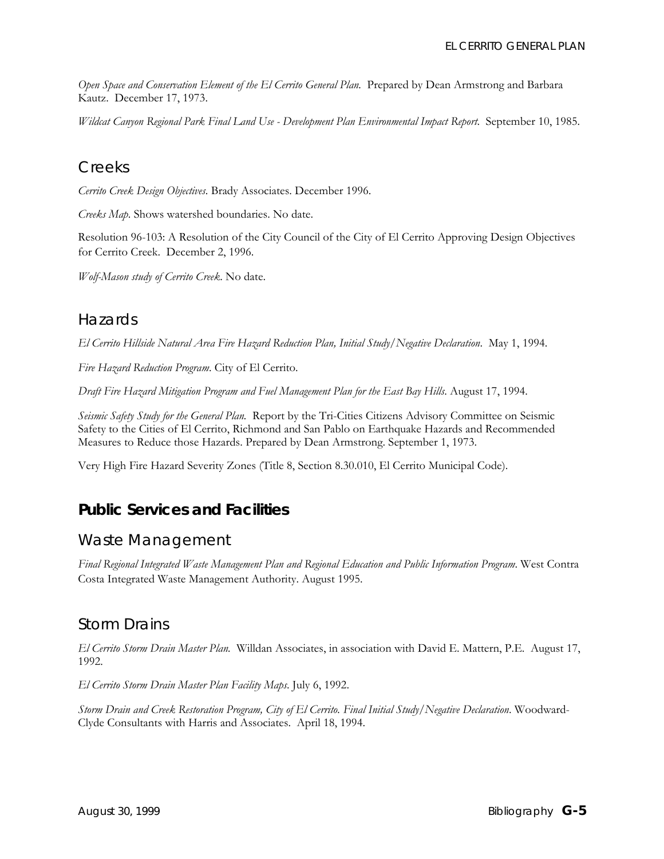*Open Space and Conservation Element of the El Cerrito General Plan.* Prepared by Dean Armstrong and Barbara Kautz. December 17, 1973.

*Wildcat Canyon Regional Park Final Land Use - Development Plan Environmental Impact Report*. September 10, 1985.

#### *Creeks*

*Cerrito Creek Design Objectives*. Brady Associates. December 1996.

*Creeks Map*. Shows watershed boundaries. No date.

Resolution 96-103: A Resolution of the City Council of the City of El Cerrito Approving Design Objectives for Cerrito Creek. December 2, 1996.

*Wolf-Mason study of Cerrito Creek*. No date.

#### *Hazards*

*El Cerrito Hillside Natural Area Fire Hazard Reduction Plan, Initial Study/Negative Declaration*. May 1, 1994.

*Fire Hazard Reduction Program*. City of El Cerrito.

*Draft Fire Hazard Mitigation Program and Fuel Management Plan for the East Bay Hills*. August 17, 1994.

*Seismic Safety Study for the General Plan.* Report by the Tri-Cities Citizens Advisory Committee on Seismic Safety to the Cities of El Cerrito, Richmond and San Pablo on Earthquake Hazards and Recommended Measures to Reduce those Hazards. Prepared by Dean Armstrong. September 1, 1973.

Very High Fire Hazard Severity Zones (Title 8, Section 8.30.010, El Cerrito Municipal Code).

### **Public Services and Facilities**

#### *Waste Management*

*Final Regional Integrated Waste Management Plan and Regional Education and Public Information Program*. West Contra Costa Integrated Waste Management Authority. August 1995.

#### *Storm Drains*

*El Cerrito Storm Drain Master Plan.* Willdan Associates, in association with David E. Mattern, P.E. August 17, 1992.

*El Cerrito Storm Drain Master Plan Facility Maps*. July 6, 1992.

*Storm Drain and Creek Restoration Program, City of El Cerrito. Final Initial Study/Negative Declaration*. Woodward-Clyde Consultants with Harris and Associates. April 18, 1994.